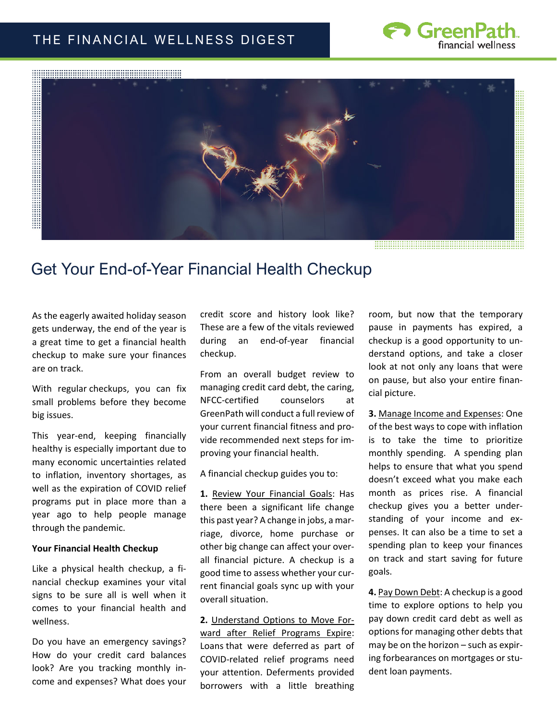### THE FINANCIAL WELLNESS DIGEST





# Get Your End-of-Year Financial Health Checkup

As the eagerly awaited holiday season gets underway, the end of the year is a great time to get a financial health checkup to make sure your finances are on track. 

With regular checkups, you can fix small problems before they become big issues.

This year-end, keeping financially healthy is especially important due to many economic uncertainties related to inflation, inventory shortages, as well as the expiration of COVID relief programs put in place more than a year ago to help people manage through the pandemic.

#### **Your Financial Health Checkup**

Like a physical health checkup, a financial checkup examines your vital signs to be sure all is well when it comes to your financial health and wellness.

Do you have an emergency savings? How do your credit card balances look? Are you tracking monthly income and expenses? What does your

credit score and history look like? These are a few of the vitals reviewed during an end-of-year financial checkup.

From an overall budget review to managing credit card debt, the caring, NFCC-certified counselors at GreenPath will conduct a full review of your current financial fitness and provide recommended next steps for improving your financial health.

A financial checkup guides you to:

**1.** Review Your Financial Goals: Has there been a significant life change this past year? A change in jobs, a marriage, divorce, home purchase or other big change can affect your overall financial picture. A checkup is a good time to assess whether your current financial goals sync up with your overall situation.

**2.** Understand Options to Move Forward after Relief Programs Expire: Loans that were deferred as part of COVID-related relief programs need your attention. Deferments provided borrowers with a little breathing room, but now that the temporary pause in payments has expired, a checkup is a good opportunity to understand options, and take a closer look at not only any loans that were on pause, but also your entire financial picture.

**3.** Manage Income and Expenses: One of the best ways to cope with inflation is to take the time to prioritize monthly spending. A spending plan helps to ensure that what you spend doesn't exceed what you make each month as prices rise. A financial checkup gives you a better understanding of your income and expenses. It can also be a time to set a spending plan to keep your finances on track and start saving for future goals.

**4.** Pay Down Debt: A checkup is a good time to explore options to help you pay down credit card debt as well as options for managing other debts that may be on the horizon – such as expiring forbearances on mortgages or student loan payments.